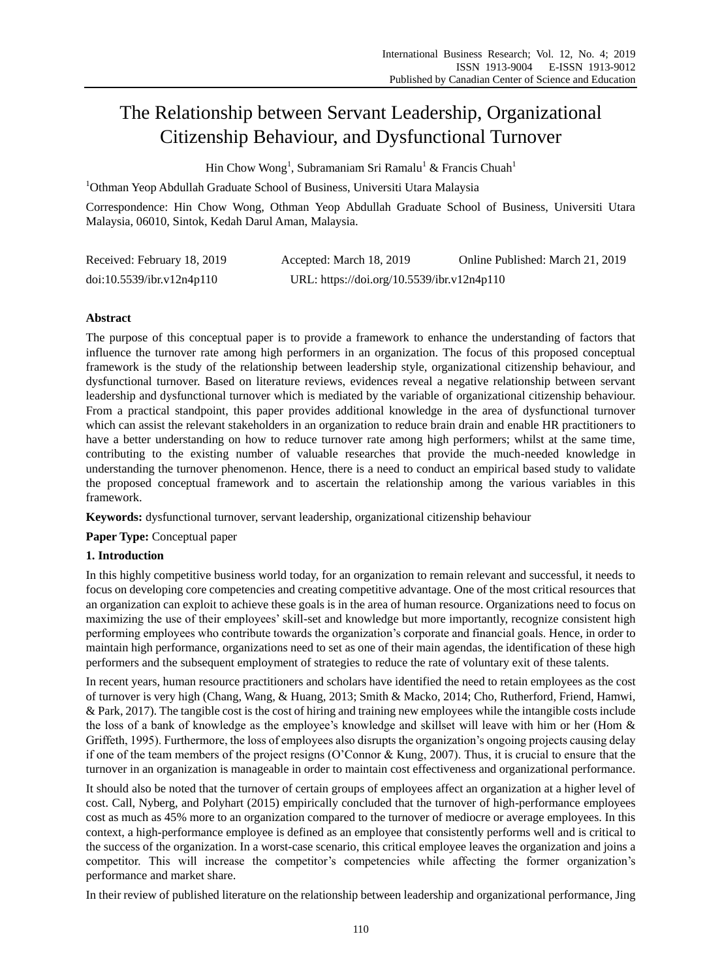# The Relationship between Servant Leadership, Organizational Citizenship Behaviour, and Dysfunctional Turnover

Hin Chow Wong<sup>1</sup>, Subramaniam Sri Ramalu<sup>1</sup> & Francis Chuah<sup>1</sup>

<sup>1</sup>Othman Yeop Abdullah Graduate School of Business, Universiti Utara Malaysia

Correspondence: Hin Chow Wong, Othman Yeop Abdullah Graduate School of Business, Universiti Utara Malaysia, 06010, Sintok, Kedah Darul Aman, Malaysia.

| Received: February 18, 2019 | Accepted: March 18, 2019                   | Online Published: March 21, 2019 |
|-----------------------------|--------------------------------------------|----------------------------------|
| doi:10.5539/ibr.v12n4p110   | URL: https://doi.org/10.5539/ibr.v12n4p110 |                                  |

# **Abstract**

The purpose of this conceptual paper is to provide a framework to enhance the understanding of factors that influence the turnover rate among high performers in an organization. The focus of this proposed conceptual framework is the study of the relationship between leadership style, organizational citizenship behaviour, and dysfunctional turnover. Based on literature reviews, evidences reveal a negative relationship between servant leadership and dysfunctional turnover which is mediated by the variable of organizational citizenship behaviour. From a practical standpoint, this paper provides additional knowledge in the area of dysfunctional turnover which can assist the relevant stakeholders in an organization to reduce brain drain and enable HR practitioners to have a better understanding on how to reduce turnover rate among high performers; whilst at the same time, contributing to the existing number of valuable researches that provide the much-needed knowledge in understanding the turnover phenomenon. Hence, there is a need to conduct an empirical based study to validate the proposed conceptual framework and to ascertain the relationship among the various variables in this framework.

**Keywords:** dysfunctional turnover, servant leadership, organizational citizenship behaviour

**Paper Type:** Conceptual paper

# **1. Introduction**

In this highly competitive business world today, for an organization to remain relevant and successful, it needs to focus on developing core competencies and creating competitive advantage. One of the most critical resources that an organization can exploit to achieve these goals is in the area of human resource. Organizations need to focus on maximizing the use of their employees' skill-set and knowledge but more importantly, recognize consistent high performing employees who contribute towards the organization's corporate and financial goals. Hence, in order to maintain high performance, organizations need to set as one of their main agendas, the identification of these high performers and the subsequent employment of strategies to reduce the rate of voluntary exit of these talents.

In recent years, human resource practitioners and scholars have identified the need to retain employees as the cost of turnover is very high (Chang, Wang, & Huang, 2013; Smith & Macko, 2014; Cho, Rutherford, Friend, Hamwi, & Park, 2017). The tangible cost is the cost of hiring and training new employees while the intangible costs include the loss of a bank of knowledge as the employee's knowledge and skillset will leave with him or her (Hom & Griffeth, 1995). Furthermore, the loss of employees also disrupts the organization's ongoing projects causing delay if one of the team members of the project resigns (O'Connor & Kung, 2007). Thus, it is crucial to ensure that the turnover in an organization is manageable in order to maintain cost effectiveness and organizational performance.

It should also be noted that the turnover of certain groups of employees affect an organization at a higher level of cost. Call, Nyberg, and Polyhart (2015) empirically concluded that the turnover of high-performance employees cost as much as 45% more to an organization compared to the turnover of mediocre or average employees. In this context, a high-performance employee is defined as an employee that consistently performs well and is critical to the success of the organization. In a worst-case scenario, this critical employee leaves the organization and joins a competitor. This will increase the competitor's competencies while affecting the former organization's performance and market share.

In their review of published literature on the relationship between leadership and organizational performance, Jing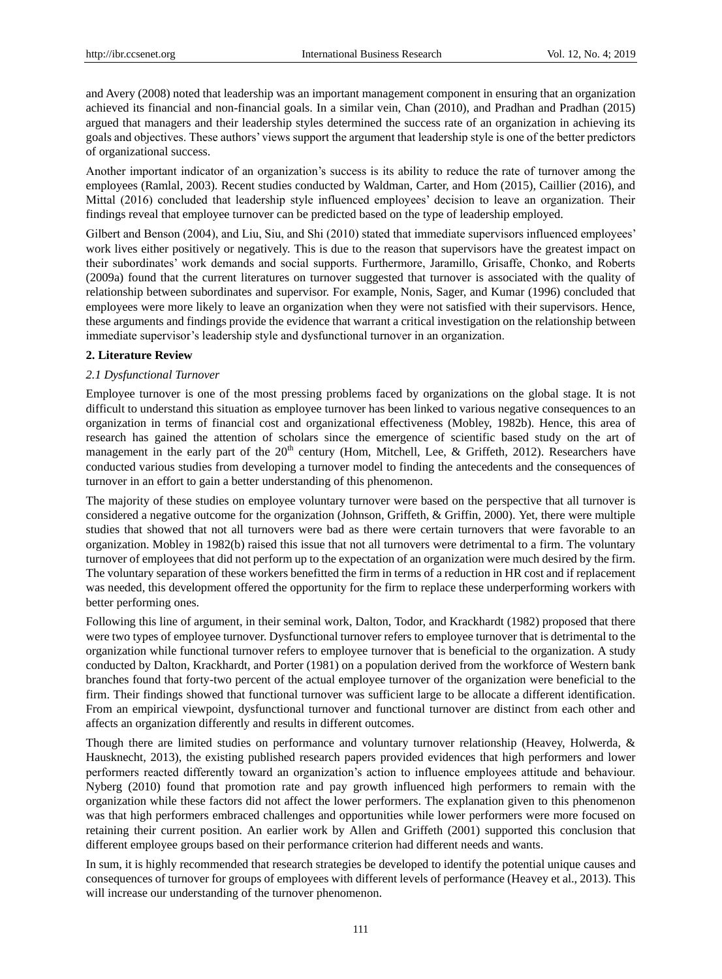and Avery (2008) noted that leadership was an important management component in ensuring that an organization achieved its financial and non-financial goals. In a similar vein, Chan (2010), and Pradhan and Pradhan (2015) argued that managers and their leadership styles determined the success rate of an organization in achieving its goals and objectives. These authors' views support the argument that leadership style is one of the better predictors of organizational success.

Another important indicator of an organization's success is its ability to reduce the rate of turnover among the employees (Ramlal, 2003). Recent studies conducted by Waldman, Carter, and Hom (2015), Caillier (2016), and Mittal (2016) concluded that leadership style influenced employees' decision to leave an organization. Their findings reveal that employee turnover can be predicted based on the type of leadership employed.

Gilbert and Benson (2004), and Liu, Siu, and Shi (2010) stated that immediate supervisors influenced employees' work lives either positively or negatively. This is due to the reason that supervisors have the greatest impact on their subordinates' work demands and social supports. Furthermore, Jaramillo, Grisaffe, Chonko, and Roberts (2009a) found that the current literatures on turnover suggested that turnover is associated with the quality of relationship between subordinates and supervisor. For example, Nonis, Sager, and Kumar (1996) concluded that employees were more likely to leave an organization when they were not satisfied with their supervisors. Hence, these arguments and findings provide the evidence that warrant a critical investigation on the relationship between immediate supervisor's leadership style and dysfunctional turnover in an organization.

#### **2. Literature Review**

#### *2.1 Dysfunctional Turnover*

Employee turnover is one of the most pressing problems faced by organizations on the global stage. It is not difficult to understand this situation as employee turnover has been linked to various negative consequences to an organization in terms of financial cost and organizational effectiveness (Mobley, 1982b). Hence, this area of research has gained the attention of scholars since the emergence of scientific based study on the art of management in the early part of the  $20<sup>th</sup>$  century (Hom, Mitchell, Lee, & Griffeth, 2012). Researchers have conducted various studies from developing a turnover model to finding the antecedents and the consequences of turnover in an effort to gain a better understanding of this phenomenon.

The majority of these studies on employee voluntary turnover were based on the perspective that all turnover is considered a negative outcome for the organization (Johnson, Griffeth, & Griffin, 2000). Yet, there were multiple studies that showed that not all turnovers were bad as there were certain turnovers that were favorable to an organization. Mobley in 1982(b) raised this issue that not all turnovers were detrimental to a firm. The voluntary turnover of employees that did not perform up to the expectation of an organization were much desired by the firm. The voluntary separation of these workers benefitted the firm in terms of a reduction in HR cost and if replacement was needed, this development offered the opportunity for the firm to replace these underperforming workers with better performing ones.

Following this line of argument, in their seminal work, Dalton, Todor, and Krackhardt (1982) proposed that there were two types of employee turnover. Dysfunctional turnover refers to employee turnover that is detrimental to the organization while functional turnover refers to employee turnover that is beneficial to the organization. A study conducted by Dalton, Krackhardt, and Porter (1981) on a population derived from the workforce of Western bank branches found that forty-two percent of the actual employee turnover of the organization were beneficial to the firm. Their findings showed that functional turnover was sufficient large to be allocate a different identification. From an empirical viewpoint, dysfunctional turnover and functional turnover are distinct from each other and affects an organization differently and results in different outcomes.

Though there are limited studies on performance and voluntary turnover relationship (Heavey, Holwerda, & Hausknecht, 2013), the existing published research papers provided evidences that high performers and lower performers reacted differently toward an organization's action to influence employees attitude and behaviour. Nyberg (2010) found that promotion rate and pay growth influenced high performers to remain with the organization while these factors did not affect the lower performers. The explanation given to this phenomenon was that high performers embraced challenges and opportunities while lower performers were more focused on retaining their current position. An earlier work by Allen and Griffeth (2001) supported this conclusion that different employee groups based on their performance criterion had different needs and wants.

In sum, it is highly recommended that research strategies be developed to identify the potential unique causes and consequences of turnover for groups of employees with different levels of performance (Heavey et al., 2013). This will increase our understanding of the turnover phenomenon.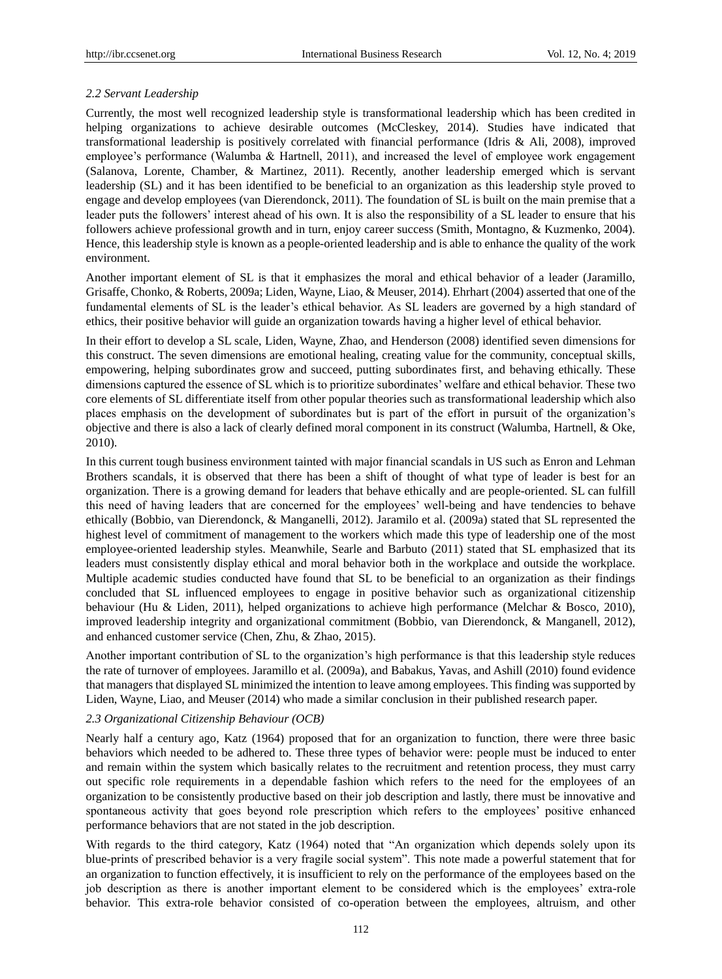#### *2.2 Servant Leadership*

Currently, the most well recognized leadership style is transformational leadership which has been credited in helping organizations to achieve desirable outcomes (McCleskey, 2014). Studies have indicated that transformational leadership is positively correlated with financial performance (Idris & Ali, 2008), improved employee's performance (Walumba & Hartnell, 2011), and increased the level of employee work engagement (Salanova, Lorente, Chamber, & Martinez, 2011). Recently, another leadership emerged which is servant leadership (SL) and it has been identified to be beneficial to an organization as this leadership style proved to engage and develop employees (van Dierendonck, 2011). The foundation of SL is built on the main premise that a leader puts the followers' interest ahead of his own. It is also the responsibility of a SL leader to ensure that his followers achieve professional growth and in turn, enjoy career success (Smith, Montagno, & Kuzmenko, 2004). Hence, this leadership style is known as a people-oriented leadership and is able to enhance the quality of the work environment.

Another important element of SL is that it emphasizes the moral and ethical behavior of a leader (Jaramillo, Grisaffe, Chonko, & Roberts, 2009a; Liden, Wayne, Liao, & Meuser, 2014). Ehrhart (2004) asserted that one of the fundamental elements of SL is the leader's ethical behavior. As SL leaders are governed by a high standard of ethics, their positive behavior will guide an organization towards having a higher level of ethical behavior.

In their effort to develop a SL scale, Liden, Wayne, Zhao, and Henderson (2008) identified seven dimensions for this construct. The seven dimensions are emotional healing, creating value for the community, conceptual skills, empowering, helping subordinates grow and succeed, putting subordinates first, and behaving ethically. These dimensions captured the essence of SL which is to prioritize subordinates' welfare and ethical behavior. These two core elements of SL differentiate itself from other popular theories such as transformational leadership which also places emphasis on the development of subordinates but is part of the effort in pursuit of the organization's objective and there is also a lack of clearly defined moral component in its construct (Walumba, Hartnell, & Oke, 2010).

In this current tough business environment tainted with major financial scandals in US such as Enron and Lehman Brothers scandals, it is observed that there has been a shift of thought of what type of leader is best for an organization. There is a growing demand for leaders that behave ethically and are people-oriented. SL can fulfill this need of having leaders that are concerned for the employees' well-being and have tendencies to behave ethically (Bobbio, van Dierendonck, & Manganelli, 2012). Jaramilo et al. (2009a) stated that SL represented the highest level of commitment of management to the workers which made this type of leadership one of the most employee-oriented leadership styles. Meanwhile, Searle and Barbuto (2011) stated that SL emphasized that its leaders must consistently display ethical and moral behavior both in the workplace and outside the workplace. Multiple academic studies conducted have found that SL to be beneficial to an organization as their findings concluded that SL influenced employees to engage in positive behavior such as organizational citizenship behaviour (Hu & Liden, 2011), helped organizations to achieve high performance (Melchar & Bosco, 2010), improved leadership integrity and organizational commitment (Bobbio, van Dierendonck, & Manganell, 2012), and enhanced customer service (Chen, Zhu, & Zhao, 2015).

Another important contribution of SL to the organization's high performance is that this leadership style reduces the rate of turnover of employees. Jaramillo et al. (2009a), and Babakus, Yavas, and Ashill (2010) found evidence that managers that displayed SL minimized the intention to leave among employees. This finding was supported by Liden, Wayne, Liao, and Meuser (2014) who made a similar conclusion in their published research paper.

#### *2.3 Organizational Citizenship Behaviour (OCB)*

Nearly half a century ago, Katz (1964) proposed that for an organization to function, there were three basic behaviors which needed to be adhered to. These three types of behavior were: people must be induced to enter and remain within the system which basically relates to the recruitment and retention process, they must carry out specific role requirements in a dependable fashion which refers to the need for the employees of an organization to be consistently productive based on their job description and lastly, there must be innovative and spontaneous activity that goes beyond role prescription which refers to the employees' positive enhanced performance behaviors that are not stated in the job description.

With regards to the third category, Katz (1964) noted that "An organization which depends solely upon its blue-prints of prescribed behavior is a very fragile social system". This note made a powerful statement that for an organization to function effectively, it is insufficient to rely on the performance of the employees based on the job description as there is another important element to be considered which is the employees' extra-role behavior. This extra-role behavior consisted of co-operation between the employees, altruism, and other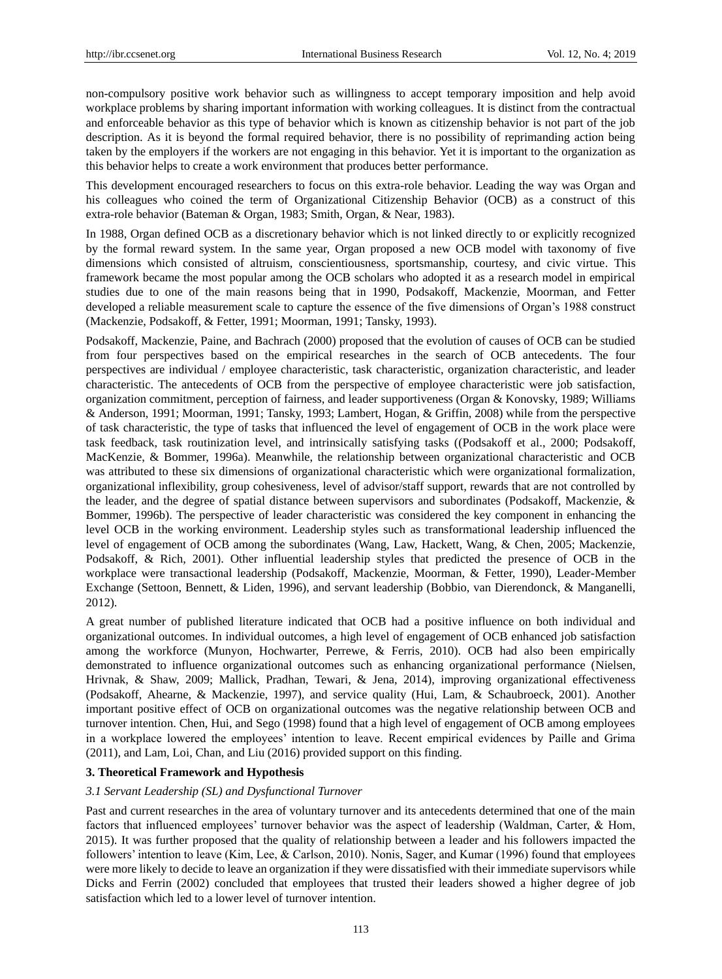non-compulsory positive work behavior such as willingness to accept temporary imposition and help avoid workplace problems by sharing important information with working colleagues. It is distinct from the contractual and enforceable behavior as this type of behavior which is known as citizenship behavior is not part of the job description. As it is beyond the formal required behavior, there is no possibility of reprimanding action being taken by the employers if the workers are not engaging in this behavior. Yet it is important to the organization as this behavior helps to create a work environment that produces better performance.

This development encouraged researchers to focus on this extra-role behavior. Leading the way was Organ and his colleagues who coined the term of Organizational Citizenship Behavior (OCB) as a construct of this extra-role behavior (Bateman & Organ, 1983; Smith, Organ, & Near, 1983).

In 1988, Organ defined OCB as a discretionary behavior which is not linked directly to or explicitly recognized by the formal reward system. In the same year, Organ proposed a new OCB model with taxonomy of five dimensions which consisted of altruism, conscientiousness, sportsmanship, courtesy, and civic virtue. This framework became the most popular among the OCB scholars who adopted it as a research model in empirical studies due to one of the main reasons being that in 1990, Podsakoff, Mackenzie, Moorman, and Fetter developed a reliable measurement scale to capture the essence of the five dimensions of Organ's 1988 construct (Mackenzie, Podsakoff, & Fetter, 1991; Moorman, 1991; Tansky, 1993).

Podsakoff, Mackenzie, Paine, and Bachrach (2000) proposed that the evolution of causes of OCB can be studied from four perspectives based on the empirical researches in the search of OCB antecedents. The four perspectives are individual / employee characteristic, task characteristic, organization characteristic, and leader characteristic. The antecedents of OCB from the perspective of employee characteristic were job satisfaction, organization commitment, perception of fairness, and leader supportiveness (Organ & Konovsky, 1989; Williams & Anderson, 1991; Moorman, 1991; Tansky, 1993; Lambert, Hogan, & Griffin, 2008) while from the perspective of task characteristic, the type of tasks that influenced the level of engagement of OCB in the work place were task feedback, task routinization level, and intrinsically satisfying tasks ((Podsakoff et al., 2000; Podsakoff, MacKenzie, & Bommer, 1996a). Meanwhile, the relationship between organizational characteristic and OCB was attributed to these six dimensions of organizational characteristic which were organizational formalization, organizational inflexibility, group cohesiveness, level of advisor/staff support, rewards that are not controlled by the leader, and the degree of spatial distance between supervisors and subordinates (Podsakoff, Mackenzie, & Bommer, 1996b). The perspective of leader characteristic was considered the key component in enhancing the level OCB in the working environment. Leadership styles such as transformational leadership influenced the level of engagement of OCB among the subordinates (Wang, Law, Hackett, Wang, & Chen, 2005; Mackenzie, Podsakoff, & Rich, 2001). Other influential leadership styles that predicted the presence of OCB in the workplace were transactional leadership (Podsakoff, Mackenzie, Moorman, & Fetter, 1990), Leader-Member Exchange (Settoon, Bennett, & Liden, 1996), and servant leadership (Bobbio, van Dierendonck, & Manganelli, 2012).

A great number of published literature indicated that OCB had a positive influence on both individual and organizational outcomes. In individual outcomes, a high level of engagement of OCB enhanced job satisfaction among the workforce (Munyon, Hochwarter, Perrewe, & Ferris, 2010). OCB had also been empirically demonstrated to influence organizational outcomes such as enhancing organizational performance (Nielsen, Hrivnak, & Shaw, 2009; Mallick, Pradhan, Tewari, & Jena, 2014), improving organizational effectiveness (Podsakoff, Ahearne, & Mackenzie, 1997), and service quality (Hui, Lam, & Schaubroeck, 2001). Another important positive effect of OCB on organizational outcomes was the negative relationship between OCB and turnover intention. Chen, Hui, and Sego (1998) found that a high level of engagement of OCB among employees in a workplace lowered the employees' intention to leave. Recent empirical evidences by Paille and Grima (2011), and Lam, Loi, Chan, and Liu (2016) provided support on this finding.

# **3. Theoretical Framework and Hypothesis**

#### *3.1 Servant Leadership (SL) and Dysfunctional Turnover*

Past and current researches in the area of voluntary turnover and its antecedents determined that one of the main factors that influenced employees' turnover behavior was the aspect of leadership (Waldman, Carter, & Hom, 2015). It was further proposed that the quality of relationship between a leader and his followers impacted the followers' intention to leave (Kim, Lee, & Carlson, 2010). Nonis, Sager, and Kumar (1996) found that employees were more likely to decide to leave an organization if they were dissatisfied with their immediate supervisors while Dicks and Ferrin (2002) concluded that employees that trusted their leaders showed a higher degree of job satisfaction which led to a lower level of turnover intention.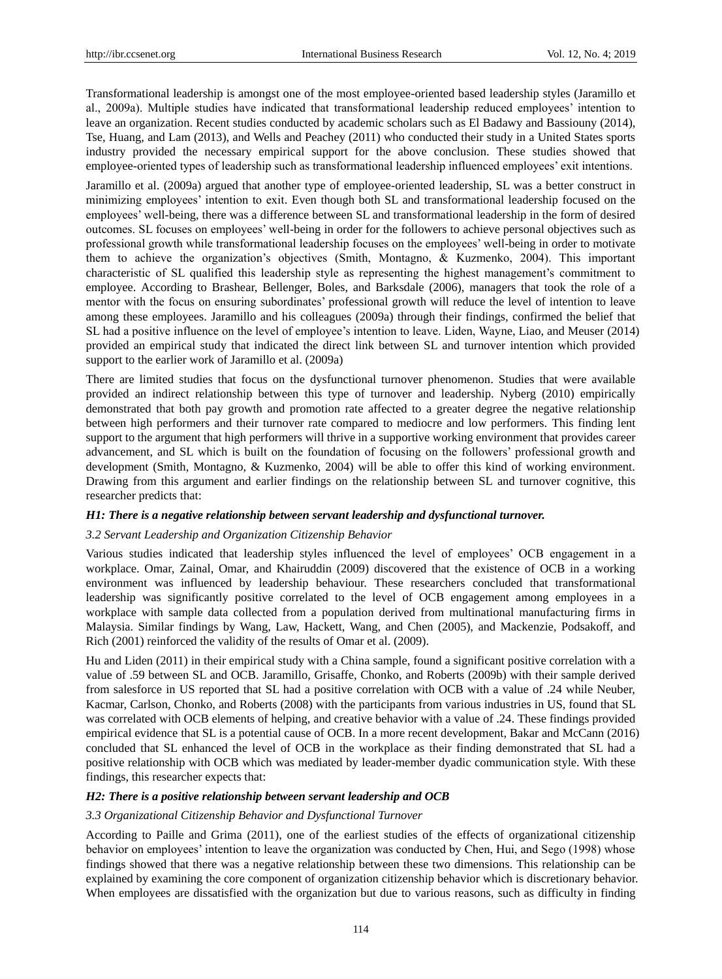Transformational leadership is amongst one of the most employee-oriented based leadership styles (Jaramillo et al., 2009a). Multiple studies have indicated that transformational leadership reduced employees' intention to leave an organization. Recent studies conducted by academic scholars such as El Badawy and Bassiouny (2014), Tse, Huang, and Lam (2013), and Wells and Peachey (2011) who conducted their study in a United States sports industry provided the necessary empirical support for the above conclusion. These studies showed that employee-oriented types of leadership such as transformational leadership influenced employees' exit intentions.

Jaramillo et al. (2009a) argued that another type of employee-oriented leadership, SL was a better construct in minimizing employees' intention to exit. Even though both SL and transformational leadership focused on the employees' well-being, there was a difference between SL and transformational leadership in the form of desired outcomes. SL focuses on employees' well-being in order for the followers to achieve personal objectives such as professional growth while transformational leadership focuses on the employees' well-being in order to motivate them to achieve the organization's objectives (Smith, Montagno, & Kuzmenko, 2004). This important characteristic of SL qualified this leadership style as representing the highest management's commitment to employee. According to Brashear, Bellenger, Boles, and Barksdale (2006), managers that took the role of a mentor with the focus on ensuring subordinates' professional growth will reduce the level of intention to leave among these employees. Jaramillo and his colleagues (2009a) through their findings, confirmed the belief that SL had a positive influence on the level of employee's intention to leave. Liden, Wayne, Liao, and Meuser (2014) provided an empirical study that indicated the direct link between SL and turnover intention which provided support to the earlier work of Jaramillo et al. (2009a)

There are limited studies that focus on the dysfunctional turnover phenomenon. Studies that were available provided an indirect relationship between this type of turnover and leadership. Nyberg (2010) empirically demonstrated that both pay growth and promotion rate affected to a greater degree the negative relationship between high performers and their turnover rate compared to mediocre and low performers. This finding lent support to the argument that high performers will thrive in a supportive working environment that provides career advancement, and SL which is built on the foundation of focusing on the followers' professional growth and development (Smith, Montagno, & Kuzmenko, 2004) will be able to offer this kind of working environment. Drawing from this argument and earlier findings on the relationship between SL and turnover cognitive, this researcher predicts that:

#### *H1: There is a negative relationship between servant leadership and dysfunctional turnover.*

#### *3.2 Servant Leadership and Organization Citizenship Behavior*

Various studies indicated that leadership styles influenced the level of employees' OCB engagement in a workplace. Omar, Zainal, Omar, and Khairuddin (2009) discovered that the existence of OCB in a working environment was influenced by leadership behaviour. These researchers concluded that transformational leadership was significantly positive correlated to the level of OCB engagement among employees in a workplace with sample data collected from a population derived from multinational manufacturing firms in Malaysia. Similar findings by Wang, Law, Hackett, Wang, and Chen (2005), and Mackenzie, Podsakoff, and Rich (2001) reinforced the validity of the results of Omar et al. (2009).

Hu and Liden (2011) in their empirical study with a China sample, found a significant positive correlation with a value of .59 between SL and OCB. Jaramillo, Grisaffe, Chonko, and Roberts (2009b) with their sample derived from salesforce in US reported that SL had a positive correlation with OCB with a value of .24 while Neuber, Kacmar, Carlson, Chonko, and Roberts (2008) with the participants from various industries in US, found that SL was correlated with OCB elements of helping, and creative behavior with a value of .24. These findings provided empirical evidence that SL is a potential cause of OCB. In a more recent development, Bakar and McCann (2016) concluded that SL enhanced the level of OCB in the workplace as their finding demonstrated that SL had a positive relationship with OCB which was mediated by leader-member dyadic communication style. With these findings, this researcher expects that:

#### *H2: There is a positive relationship between servant leadership and OCB*

#### *3.3 Organizational Citizenship Behavior and Dysfunctional Turnover*

According to Paille and Grima (2011), one of the earliest studies of the effects of organizational citizenship behavior on employees' intention to leave the organization was conducted by Chen, Hui, and Sego (1998) whose findings showed that there was a negative relationship between these two dimensions. This relationship can be explained by examining the core component of organization citizenship behavior which is discretionary behavior. When employees are dissatisfied with the organization but due to various reasons, such as difficulty in finding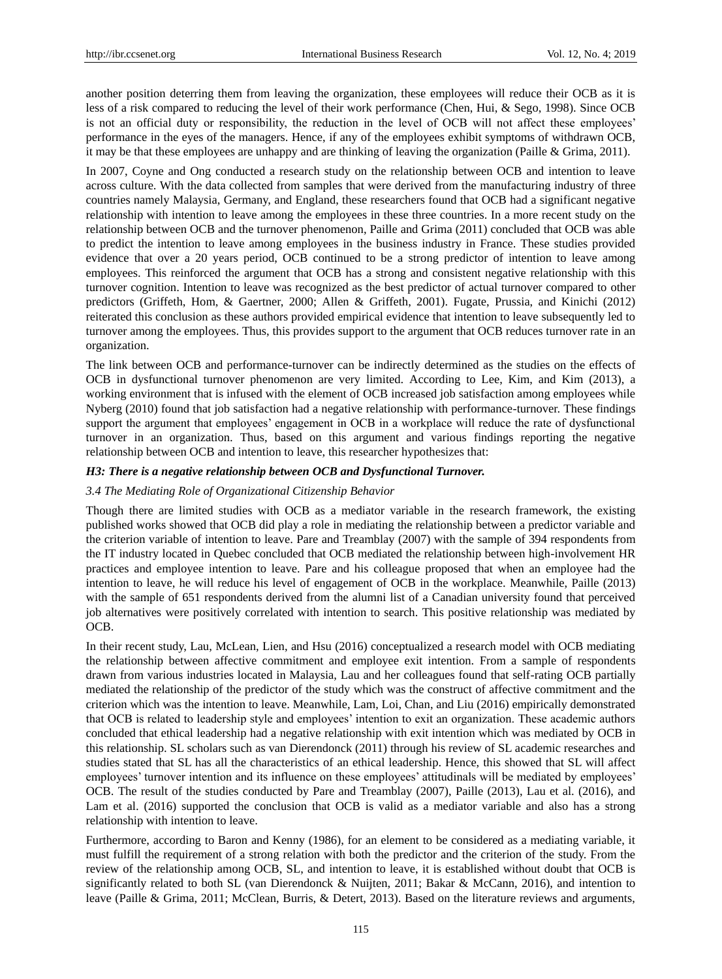another position deterring them from leaving the organization, these employees will reduce their OCB as it is less of a risk compared to reducing the level of their work performance (Chen, Hui, & Sego, 1998). Since OCB is not an official duty or responsibility, the reduction in the level of OCB will not affect these employees' performance in the eyes of the managers. Hence, if any of the employees exhibit symptoms of withdrawn OCB, it may be that these employees are unhappy and are thinking of leaving the organization (Paille & Grima, 2011).

In 2007, Coyne and Ong conducted a research study on the relationship between OCB and intention to leave across culture. With the data collected from samples that were derived from the manufacturing industry of three countries namely Malaysia, Germany, and England, these researchers found that OCB had a significant negative relationship with intention to leave among the employees in these three countries. In a more recent study on the relationship between OCB and the turnover phenomenon, Paille and Grima (2011) concluded that OCB was able to predict the intention to leave among employees in the business industry in France. These studies provided evidence that over a 20 years period, OCB continued to be a strong predictor of intention to leave among employees. This reinforced the argument that OCB has a strong and consistent negative relationship with this turnover cognition. Intention to leave was recognized as the best predictor of actual turnover compared to other predictors (Griffeth, Hom, & Gaertner, 2000; Allen & Griffeth, 2001). Fugate, Prussia, and Kinichi (2012) reiterated this conclusion as these authors provided empirical evidence that intention to leave subsequently led to turnover among the employees. Thus, this provides support to the argument that OCB reduces turnover rate in an organization.

The link between OCB and performance-turnover can be indirectly determined as the studies on the effects of OCB in dysfunctional turnover phenomenon are very limited. According to Lee, Kim, and Kim (2013), a working environment that is infused with the element of OCB increased job satisfaction among employees while Nyberg (2010) found that job satisfaction had a negative relationship with performance-turnover. These findings support the argument that employees' engagement in OCB in a workplace will reduce the rate of dysfunctional turnover in an organization. Thus, based on this argument and various findings reporting the negative relationship between OCB and intention to leave, this researcher hypothesizes that:

## *H3: There is a negative relationship between OCB and Dysfunctional Turnover.*

## *3.4 The Mediating Role of Organizational Citizenship Behavior*

Though there are limited studies with OCB as a mediator variable in the research framework, the existing published works showed that OCB did play a role in mediating the relationship between a predictor variable and the criterion variable of intention to leave. Pare and Treamblay (2007) with the sample of 394 respondents from the IT industry located in Quebec concluded that OCB mediated the relationship between high-involvement HR practices and employee intention to leave. Pare and his colleague proposed that when an employee had the intention to leave, he will reduce his level of engagement of OCB in the workplace. Meanwhile, Paille (2013) with the sample of 651 respondents derived from the alumni list of a Canadian university found that perceived job alternatives were positively correlated with intention to search. This positive relationship was mediated by OCB.

In their recent study, Lau, McLean, Lien, and Hsu (2016) conceptualized a research model with OCB mediating the relationship between affective commitment and employee exit intention. From a sample of respondents drawn from various industries located in Malaysia, Lau and her colleagues found that self-rating OCB partially mediated the relationship of the predictor of the study which was the construct of affective commitment and the criterion which was the intention to leave. Meanwhile, Lam, Loi, Chan, and Liu (2016) empirically demonstrated that OCB is related to leadership style and employees' intention to exit an organization. These academic authors concluded that ethical leadership had a negative relationship with exit intention which was mediated by OCB in this relationship. SL scholars such as van Dierendonck (2011) through his review of SL academic researches and studies stated that SL has all the characteristics of an ethical leadership. Hence, this showed that SL will affect employees' turnover intention and its influence on these employees' attitudinals will be mediated by employees' OCB. The result of the studies conducted by Pare and Treamblay (2007), Paille (2013), Lau et al. (2016), and Lam et al. (2016) supported the conclusion that OCB is valid as a mediator variable and also has a strong relationship with intention to leave.

Furthermore, according to Baron and Kenny (1986), for an element to be considered as a mediating variable, it must fulfill the requirement of a strong relation with both the predictor and the criterion of the study. From the review of the relationship among OCB, SL, and intention to leave, it is established without doubt that OCB is significantly related to both SL (van Dierendonck & Nuijten, 2011; Bakar & McCann, 2016), and intention to leave (Paille & Grima, 2011; McClean, Burris, & Detert, 2013). Based on the literature reviews and arguments,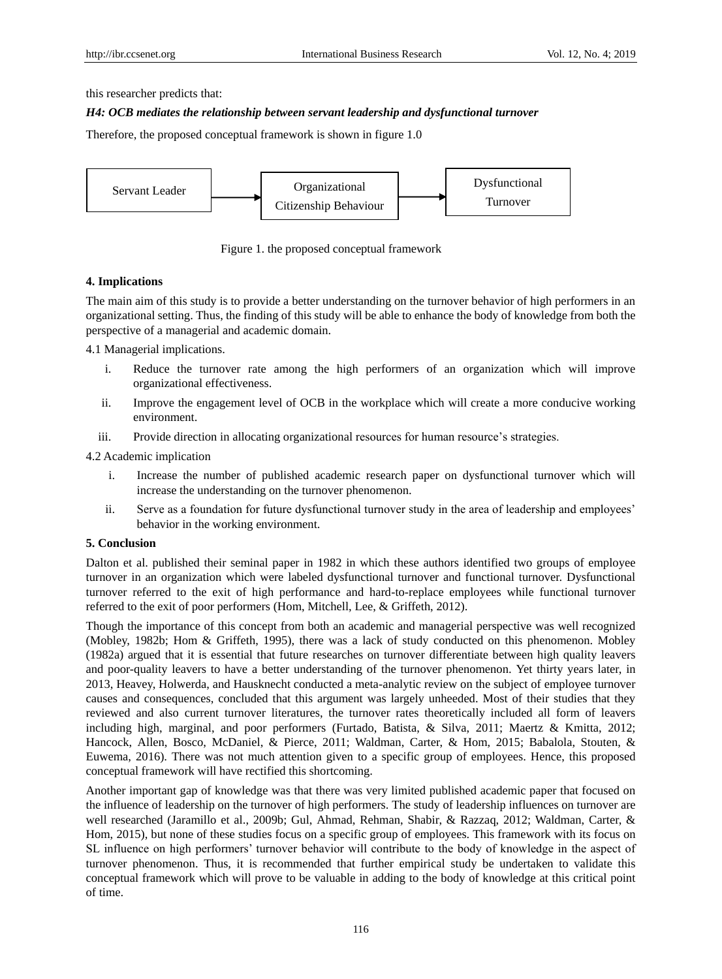this researcher predicts that:

# *H4: OCB mediates the relationship between servant leadership and dysfunctional turnover*

Therefore, the proposed conceptual framework is shown in figure 1.0



Figure 1. the proposed conceptual framework

# **4. Implications**

The main aim of this study is to provide a better understanding on the turnover behavior of high performers in an organizational setting. Thus, the finding of this study will be able to enhance the body of knowledge from both the perspective of a managerial and academic domain.

4.1 Managerial implications.

- i. Reduce the turnover rate among the high performers of an organization which will improve organizational effectiveness.
- ii. Improve the engagement level of OCB in the workplace which will create a more conducive working environment.
- iii. Provide direction in allocating organizational resources for human resource's strategies.

4.2 Academic implication

- i. Increase the number of published academic research paper on dysfunctional turnover which will increase the understanding on the turnover phenomenon.
- ii. Serve as a foundation for future dysfunctional turnover study in the area of leadership and employees' behavior in the working environment.

#### **5. Conclusion**

Dalton et al. published their seminal paper in 1982 in which these authors identified two groups of employee turnover in an organization which were labeled dysfunctional turnover and functional turnover. Dysfunctional turnover referred to the exit of high performance and hard-to-replace employees while functional turnover referred to the exit of poor performers (Hom, Mitchell, Lee, & Griffeth, 2012).

Though the importance of this concept from both an academic and managerial perspective was well recognized (Mobley, 1982b; Hom & Griffeth, 1995), there was a lack of study conducted on this phenomenon. Mobley (1982a) argued that it is essential that future researches on turnover differentiate between high quality leavers and poor-quality leavers to have a better understanding of the turnover phenomenon. Yet thirty years later, in 2013, Heavey, Holwerda, and Hausknecht conducted a meta-analytic review on the subject of employee turnover causes and consequences, concluded that this argument was largely unheeded. Most of their studies that they reviewed and also current turnover literatures, the turnover rates theoretically included all form of leavers including high, marginal, and poor performers (Furtado, Batista, & Silva, 2011; Maertz & Kmitta, 2012; Hancock, Allen, Bosco, McDaniel, & Pierce, 2011; Waldman, Carter, & Hom, 2015; Babalola, Stouten, & Euwema, 2016). There was not much attention given to a specific group of employees. Hence, this proposed conceptual framework will have rectified this shortcoming.

Another important gap of knowledge was that there was very limited published academic paper that focused on the influence of leadership on the turnover of high performers. The study of leadership influences on turnover are well researched (Jaramillo et al., 2009b; Gul, Ahmad, Rehman, Shabir, & Razzaq, 2012; Waldman, Carter, & Hom, 2015), but none of these studies focus on a specific group of employees. This framework with its focus on SL influence on high performers' turnover behavior will contribute to the body of knowledge in the aspect of turnover phenomenon. Thus, it is recommended that further empirical study be undertaken to validate this conceptual framework which will prove to be valuable in adding to the body of knowledge at this critical point of time.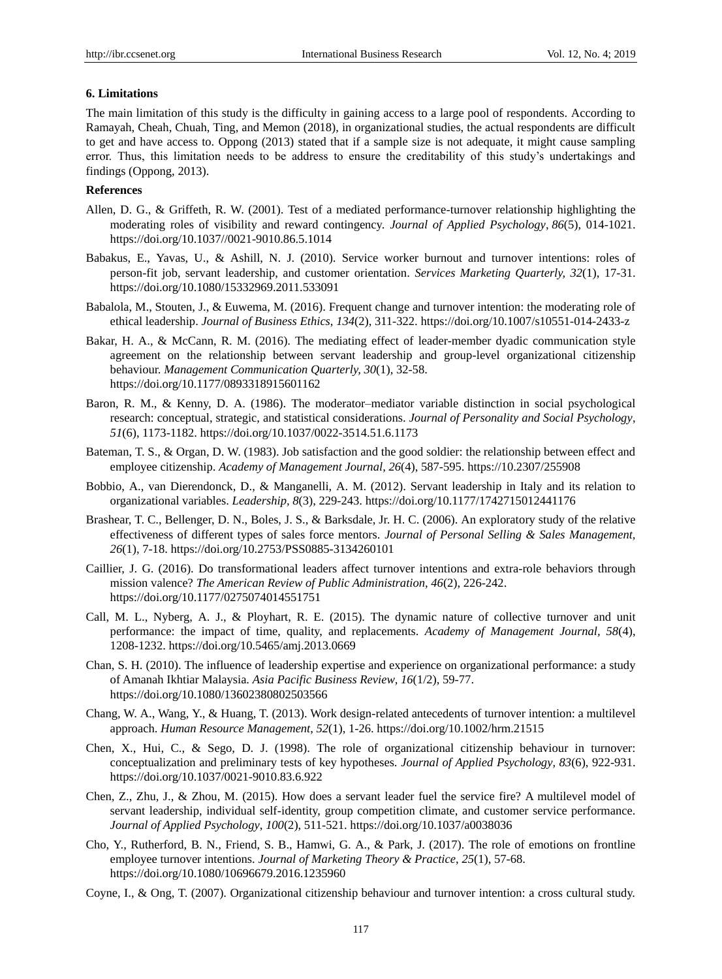## **6. Limitations**

The main limitation of this study is the difficulty in gaining access to a large pool of respondents. According to Ramayah, Cheah, Chuah, Ting, and Memon (2018), in organizational studies, the actual respondents are difficult to get and have access to. Oppong (2013) stated that if a sample size is not adequate, it might cause sampling error. Thus, this limitation needs to be address to ensure the creditability of this study's undertakings and findings (Oppong, 2013).

# **References**

- Allen, D. G., & Griffeth, R. W. (2001). Test of a mediated performance-turnover relationship highlighting the moderating roles of visibility and reward contingency. *Journal of Applied Psychology*, *86*(5), 014-1021. https://doi.org/10.1037//0021-9010.86.5.1014
- Babakus, E., Yavas, U., & Ashill, N. J. (2010). Service worker burnout and turnover intentions: roles of person-fit job, servant leadership, and customer orientation. *Services Marketing Quarterly, 32*(1), 17-31. https://doi.org/10.1080/15332969.2011.533091
- Babalola, M., Stouten, J., & Euwema, M. (2016). Frequent change and turnover intention: the moderating role of ethical leadership. *Journal of Business Ethics*, *134*(2), 311-322. https://doi.org/10.1007/s10551-014-2433-z
- Bakar, H. A., & McCann, R. M. (2016). The mediating effect of leader-member dyadic communication style agreement on the relationship between servant leadership and group-level organizational citizenship behaviour. *Management Communication Quarterly, 30*(1), 32-58. https://doi.org/10.1177/0893318915601162
- Baron, R. M., & Kenny, D. A. (1986). The moderator–mediator variable distinction in social psychological research: conceptual, strategic, and statistical considerations. *Journal of Personality and Social Psychology*, *51*(6), 1173-1182. https://doi.org/10.1037/0022-3514.51.6.1173
- Bateman, T. S., & Organ, D. W. (1983). Job satisfaction and the good soldier: the relationship between effect and employee citizenship. *Academy of Management Journal, 26*(4), 587-595. https://10.2307/255908
- Bobbio, A., van Dierendonck, D., & Manganelli, A. M. (2012). Servant leadership in Italy and its relation to organizational variables. *Leadership, 8*(3), 229-243. https://doi.org/10.1177/1742715012441176
- Brashear, T. C., Bellenger, D. N., Boles, J. S., & Barksdale, Jr. H. C. (2006). An exploratory study of the relative effectiveness of different types of sales force mentors. *Journal of Personal Selling & Sales Management, 26*(1), 7-18. https://doi.org/10.2753/PSS0885-3134260101
- Caillier, J. G. (2016). Do transformational leaders affect turnover intentions and extra-role behaviors through mission valence? *The American Review of Public Administration*, *46*(2), 226-242. https://doi.org/10.1177/0275074014551751
- Call, M. L., Nyberg, A. J., & Ployhart, R. E. (2015). The dynamic nature of collective turnover and unit performance: the impact of time, quality, and replacements. *Academy of Management Journal, 58*(4), 1208-1232. https://doi.org/10.5465/amj.2013.0669
- Chan, S. H. (2010). The influence of leadership expertise and experience on organizational performance: a study of Amanah Ikhtiar Malaysia. *Asia Pacific Business Review*, *16*(1/2), 59-77. https://doi.org/10.1080/13602380802503566
- Chang, W. A., Wang, Y., & Huang, T. (2013). Work design-related antecedents of turnover intention: a multilevel approach. *Human Resource Management*, *52*(1), 1-26. https://doi.org/10.1002/hrm.21515
- Chen, X., Hui, C., & Sego, D. J. (1998). The role of organizational citizenship behaviour in turnover: conceptualization and preliminary tests of key hypotheses. *Journal of Applied Psychology*, *83*(6), 922-931. https://doi.org/10.1037/0021-9010.83.6.922
- Chen, Z., Zhu, J., & Zhou, M. (2015). How does a servant leader fuel the service fire? A multilevel model of servant leadership, individual self-identity, group competition climate, and customer service performance. *Journal of Applied Psychology*, *100*(2), 511-521. https://doi.org/10.1037/a0038036
- Cho, Y., Rutherford, B. N., Friend, S. B., Hamwi, G. A., & Park, J. (2017). The role of emotions on frontline employee turnover intentions. *Journal of Marketing Theory & Practice*, *25*(1), 57-68. https://doi.org/10.1080/10696679.2016.1235960
- Coyne, I., & Ong, T. (2007). Organizational citizenship behaviour and turnover intention: a cross cultural study.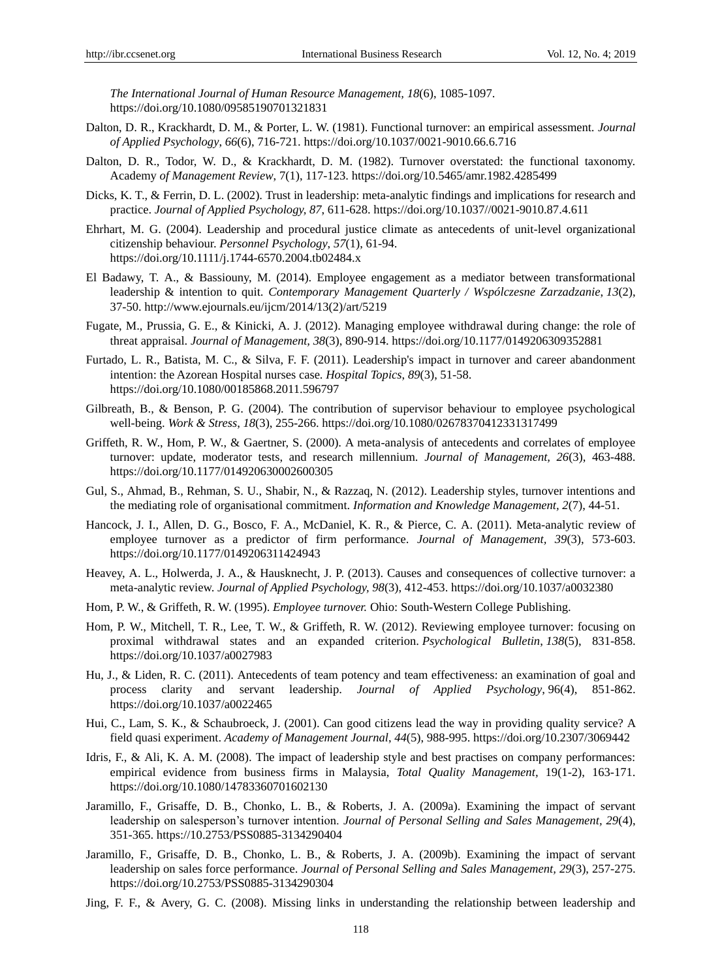*The International Journal of Human Resource Management, 18*(6), 1085-1097. https://doi.org/10.1080/09585190701321831

- Dalton, D. R., Krackhardt, D. M., & Porter, L. W. (1981). Functional turnover: an empirical assessment. *Journal of Applied Psychology*, *66*(6), 716-721. https://doi.org/10.1037/0021-9010.66.6.716
- Dalton, D. R., Todor, W. D., & Krackhardt, D. M. (1982). Turnover overstated: the functional taxonomy. Academy *of Management Review*, 7(1), 117-123. https://doi.org/10.5465/amr.1982.4285499
- Dicks, K. T., & Ferrin, D. L. (2002). Trust in leadership: meta-analytic findings and implications for research and practice. *Journal of Applied Psychology, 87*, 611-628. https://doi.org/10.1037//0021-9010.87.4.611
- Ehrhart, M. G. (2004). Leadership and procedural justice climate as antecedents of unit-level organizational citizenship behaviour. *Personnel Psychology*, *57*(1), 61-94. https://doi.org/10.1111/j.1744-6570.2004.tb02484.x
- El Badawy, T. A., & Bassiouny, M. (2014). Employee engagement as a mediator between transformational leadership & intention to quit. *Contemporary Management Quarterly / Wspólczesne Zarzadzanie*, *13*(2), 37-50. http://www.ejournals.eu/ijcm/2014/13(2)/art/5219
- Fugate, M., Prussia, G. E., & Kinicki, A. J. (2012). Managing employee withdrawal during change: the role of threat appraisal. *Journal of Management, 38*(3), 890-914. https://doi.org/10.1177/0149206309352881
- Furtado, L. R., Batista, M. C., & Silva, F. F. (2011). Leadership's impact in turnover and career abandonment intention: the Azorean Hospital nurses case. *Hospital Topics*, *89*(3), 51-58. https://doi.org/10.1080/00185868.2011.596797
- Gilbreath, B., & Benson, P. G. (2004). The contribution of supervisor behaviour to employee psychological well-being. *Work & Stress*, *18*(3), 255-266. https://doi.org/10.1080/02678370412331317499
- Griffeth, R. W., Hom, P. W., & Gaertner, S. (2000). A meta-analysis of antecedents and correlates of employee turnover: update, moderator tests, and research millennium. *Journal of Management, 26*(3), 463-488. https://doi.org/10.1177/014920630002600305
- Gul, S., Ahmad, B., Rehman, S. U., Shabir, N., & Razzaq, N. (2012). Leadership styles, turnover intentions and the mediating role of organisational commitment. *Information and Knowledge Management, 2*(7), 44-51.
- Hancock, J. I., Allen, D. G., Bosco, F. A., McDaniel, K. R., & Pierce, C. A. (2011). Meta-analytic review of employee turnover as a predictor of firm performance. *Journal of Management, 39*(3), 573-603. https://doi.org/10.1177/0149206311424943
- Heavey, A. L., Holwerda, J. A., & Hausknecht, J. P. (2013). Causes and consequences of collective turnover: a meta-analytic review. *Journal of Applied Psychology, 98*(3), 412-453. https://doi.org/10.1037/a0032380
- Hom, P. W., & Griffeth, R. W. (1995). *Employee turnover.* Ohio: South-Western College Publishing.
- Hom, P. W., Mitchell, T. R., Lee, T. W., & Griffeth, R. W. (2012). Reviewing employee turnover: focusing on proximal withdrawal states and an expanded criterion. *Psychological Bulletin*, *138*(5), 831-858. https://doi.org/10.1037/a0027983
- Hu, J., & Liden, R. C. (2011). Antecedents of team potency and team effectiveness: an examination of goal and process clarity and servant leadership. *Journal of Applied Psychology*, 96(4), 851-862. https://doi.org/10.1037/a0022465
- Hui, C., Lam, S. K., & Schaubroeck, J. (2001). Can good citizens lead the way in providing quality service? A field quasi experiment. *Academy of Management Journal*, *44*(5), 988-995. https://doi.org/10.2307/3069442
- Idris, F., & Ali, K. A. M. (2008). The impact of leadership style and best practises on company performances: empirical evidence from business firms in Malaysia, *Total Quality Management,* 19(1-2), 163-171. https://doi.org/10.1080/14783360701602130
- Jaramillo, F., Grisaffe, D. B., Chonko, L. B., & Roberts, J. A. (2009a). Examining the impact of servant leadership on salesperson's turnover intention. *Journal of Personal Selling and Sales Management, 29*(4), 351-365. https://10.2753/PSS0885-3134290404
- Jaramillo, F., Grisaffe, D. B., Chonko, L. B., & Roberts, J. A. (2009b). Examining the impact of servant leadership on sales force performance. *Journal of Personal Selling and Sales Management, 29*(3), 257-275. https://doi.org/10.2753/PSS0885-3134290304
- Jing, F. F., & Avery, G. C. (2008). Missing links in understanding the relationship between leadership and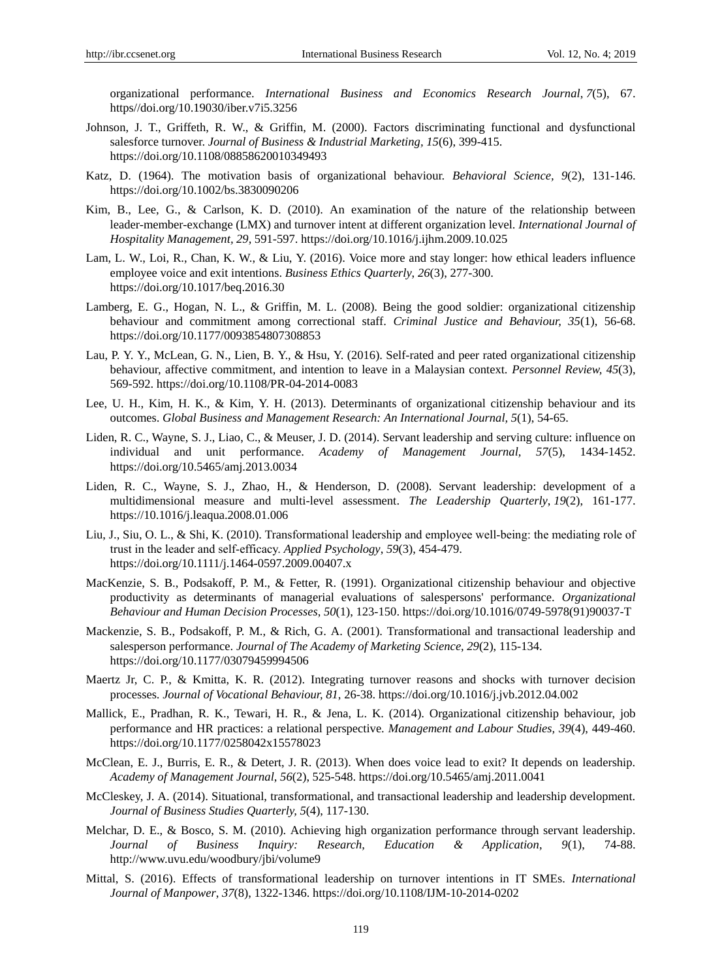organizational performance. *International Business and Economics Research Journal*, *7*(5), 67. https//doi.org/10.19030/iber.v7i5.3256

- Johnson, J. T., Griffeth, R. W., & Griffin, M. (2000). Factors discriminating functional and dysfunctional salesforce turnover. *Journal of Business & Industrial Marketing, 15*(6), 399-415. https://doi.org/10.1108/08858620010349493
- Katz, D. (1964). The motivation basis of organizational behaviour. *Behavioral Science, 9*(2), 131-146. https://doi.org/10.1002/bs.3830090206
- Kim, B., Lee, G., & Carlson, K. D. (2010). An examination of the nature of the relationship between leader-member-exchange (LMX) and turnover intent at different organization level. *International Journal of Hospitality Management, 29,* 591-597. https://doi.org/10.1016/j.ijhm.2009.10.025
- Lam, L. W., Loi, R., Chan, K. W., & Liu, Y. (2016). Voice more and stay longer: how ethical leaders influence employee voice and exit intentions. *Business Ethics Quarterly*, *26*(3), 277-300. https://doi.org/10.1017/beq.2016.30
- Lamberg, E. G., Hogan, N. L., & Griffin, M. L. (2008). Being the good soldier: organizational citizenship behaviour and commitment among correctional staff. *Criminal Justice and Behaviour, 35*(1), 56-68. https://doi.org/10.1177/0093854807308853
- Lau, P. Y. Y., McLean, G. N., Lien, B. Y., & Hsu, Y. (2016). Self-rated and peer rated organizational citizenship behaviour, affective commitment, and intention to leave in a Malaysian context. *Personnel Review, 45*(3), 569-592. https://doi.org/10.1108/PR-04-2014-0083
- Lee, U. H., Kim, H. K., & Kim, Y. H. (2013). Determinants of organizational citizenship behaviour and its outcomes. *Global Business and Management Research: An International Journal, 5*(1), 54-65.
- Liden, R. C., Wayne, S. J., Liao, C., & Meuser, J. D. (2014). Servant leadership and serving culture: influence on individual and unit performance. *Academy of Management Journal, 57*(5), 1434-1452. https://doi.org/10.5465/amj.2013.0034
- Liden, R. C., Wayne, S. J., Zhao, H., & Henderson, D. (2008). Servant leadership: development of a multidimensional measure and multi-level assessment. *The Leadership Quarterly*, *19*(2), 161-177. https://10.1016/j.leaqua.2008.01.006
- Liu, J., Siu, O. L., & Shi, K. (2010). Transformational leadership and employee well-being: the mediating role of trust in the leader and self‐efficacy. *Applied Psychology*, *59*(3), 454-479. https://doi.org/10.1111/j.1464-0597.2009.00407.x
- MacKenzie, S. B., Podsakoff, P. M., & Fetter, R. (1991). Organizational citizenship behaviour and objective productivity as determinants of managerial evaluations of salespersons' performance. *Organizational Behaviour and Human Decision Processes*, *50*(1), 123-150. https://doi.org/10.1016/0749-5978(91)90037-T
- Mackenzie, S. B., Podsakoff, P. M., & Rich, G. A. (2001). Transformational and transactional leadership and salesperson performance. *Journal of The Academy of Marketing Science*, *29*(2), 115-134. https://doi.org/10.1177/03079459994506
- Maertz Jr, C. P., & Kmitta, K. R. (2012). Integrating turnover reasons and shocks with turnover decision processes. *Journal of Vocational Behaviour, 81*, 26-38. https://doi.org/10.1016/j.jvb.2012.04.002
- Mallick, E., Pradhan, R. K., Tewari, H. R., & Jena, L. K. (2014). Organizational citizenship behaviour, job performance and HR practices: a relational perspective. *Management and Labour Studies, 39*(4), 449-460. https://doi.org/10.1177/0258042x15578023
- McClean, E. J., Burris, E. R., & Detert, J. R. (2013). When does voice lead to exit? It depends on leadership. *Academy of Management Journal*, *56*(2), 525-548. https://doi.org/10.5465/amj.2011.0041
- McCleskey, J. A. (2014). Situational, transformational, and transactional leadership and leadership development. *Journal of Business Studies Quarterly, 5*(4), 117-130.
- Melchar, D. E., & Bosco, S. M. (2010). Achieving high organization performance through servant leadership. *Journal of Business Inquiry: Research, Education & Application*, *9*(1), 74-88. http://www.uvu.edu/woodbury/jbi/volume9
- Mittal, S. (2016). Effects of transformational leadership on turnover intentions in IT SMEs. *International Journal of Manpower*, *37*(8), 1322-1346. https://doi.org/10.1108/IJM-10-2014-0202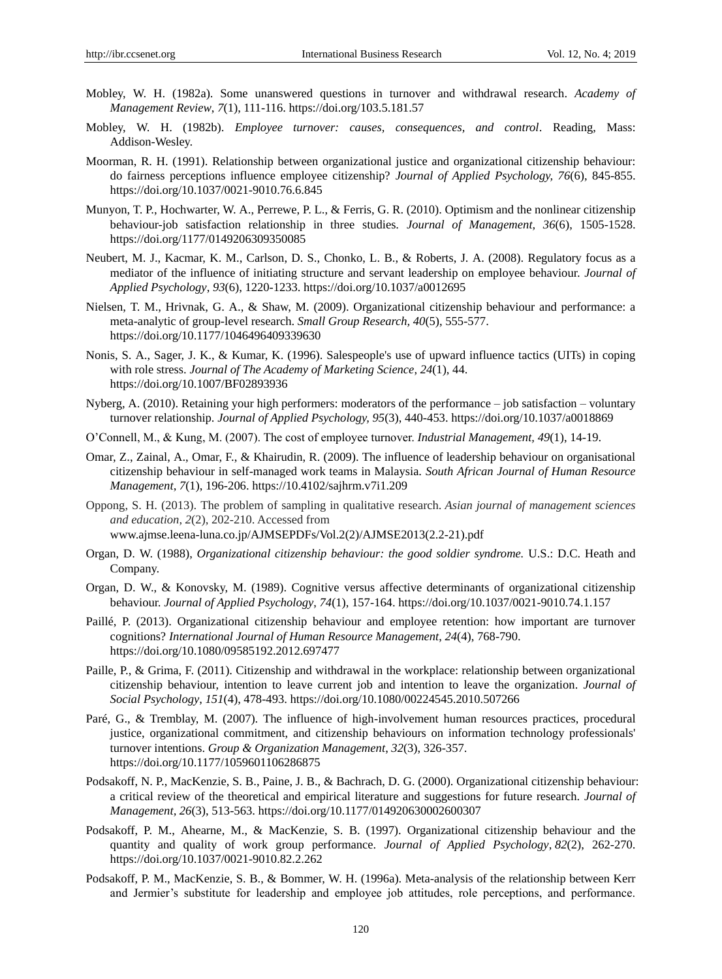- Mobley, W. H. (1982a). Some unanswered questions in turnover and withdrawal research. *Academy of Management Review*, *7*(1), 111-116. https://doi.org/103.5.181.57
- Mobley, W. H. (1982b). *Employee turnover: causes, consequences, and control*. Reading, Mass: Addison-Wesley.
- Moorman, R. H. (1991). Relationship between organizational justice and organizational citizenship behaviour: do fairness perceptions influence employee citizenship? *Journal of Applied Psychology, 76*(6), 845-855. https://doi.org/10.1037/0021-9010.76.6.845
- Munyon, T. P., Hochwarter, W. A., Perrewe, P. L., & Ferris, G. R. (2010). Optimism and the nonlinear citizenship behaviour-job satisfaction relationship in three studies. *Journal of Management, 36*(6), 1505-1528. https://doi.org/1177/0149206309350085
- Neubert, M. J., Kacmar, K. M., Carlson, D. S., Chonko, L. B., & Roberts, J. A. (2008). Regulatory focus as a mediator of the influence of initiating structure and servant leadership on employee behaviour. *Journal of Applied Psychology*, *93*(6), 1220-1233. https://doi.org/10.1037/a0012695
- Nielsen, T. M., Hrivnak, G. A., & Shaw, M. (2009). Organizational citizenship behaviour and performance: a meta-analytic of group-level research. *Small Group Research, 40*(5), 555-577. https://doi.org/10.1177/1046496409339630
- Nonis, S. A., Sager, J. K., & Kumar, K. (1996). Salespeople's use of upward influence tactics (UITs) in coping with role stress. *Journal of The Academy of Marketing Science*, *24*(1), 44. https://doi.org/10.1007/BF02893936
- Nyberg, A. (2010). Retaining your high performers: moderators of the performance job satisfaction voluntary turnover relationship. *Journal of Applied Psychology, 95*(3), 440-453. https://doi.org/10.1037/a0018869
- O'Connell, M., & Kung, M. (2007). The cost of employee turnover. *Industrial Management, 49*(1), 14-19.
- Omar, Z., Zainal, A., Omar, F., & Khairudin, R. (2009). The influence of leadership behaviour on organisational citizenship behaviour in self-managed work teams in Malaysia. *South African Journal of Human Resource Management*, *7*(1), 196-206. [https://10.4102/sajhrm.v7i1.209](https://10.0.16.6/sajhrm.v7i1.209)
- Oppong, S. H. (2013). The problem of sampling in qualitative research. *Asian journal of management sciences and education*, *2*(2), 202-210. Accessed from www.ajmse.leena-luna.co.jp/AJMSEPDFs/Vol.2(2)/AJMSE2013(2.2-21).pdf
- Organ, D. W. (1988), *Organizational citizenship behaviour: the good soldier syndrome.* U.S.: D.C. Heath and Company.
- Organ, D. W., & Konovsky, M. (1989). Cognitive versus affective determinants of organizational citizenship behaviour. *Journal of Applied Psychology*, *74*(1), 157-164. https://doi.org/10.1037/0021-9010.74.1.157
- Paillé, P. (2013). Organizational citizenship behaviour and employee retention: how important are turnover cognitions? *International Journal of Human Resource Management*, *24*(4), 768-790. https://doi.org/10.1080/09585192.2012.697477
- Paille, P., & Grima, F. (2011). Citizenship and withdrawal in the workplace: relationship between organizational citizenship behaviour, intention to leave current job and intention to leave the organization. *Journal of Social Psychology*, *151*(4), 478-493. https://doi.org/10.1080/00224545.2010.507266
- Paré, G., & Tremblay, M. (2007). The influence of high-involvement human resources practices, procedural justice, organizational commitment, and citizenship behaviours on information technology professionals' turnover intentions. *Group & Organization Management*, *32*(3), 326-357. https://doi.org/10.1177/1059601106286875
- Podsakoff, N. P., MacKenzie, S. B., Paine, J. B., & Bachrach, D. G. (2000). Organizational citizenship behaviour: a critical review of the theoretical and empirical literature and suggestions for future research. *Journal of Management, 26*(3), 513-563. https://doi.org/10.1177/014920630002600307
- Podsakoff, P. M., Ahearne, M., & MacKenzie, S. B. (1997). Organizational citizenship behaviour and the quantity and quality of work group performance. *Journal of Applied Psychology*, *82*(2), 262-270. https://doi.org/10.1037/0021-9010.82.2.262
- Podsakoff, P. M., MacKenzie, S. B., & Bommer, W. H. (1996a). Meta-analysis of the relationship between Kerr and Jermier's substitute for leadership and employee job attitudes, role perceptions, and performance.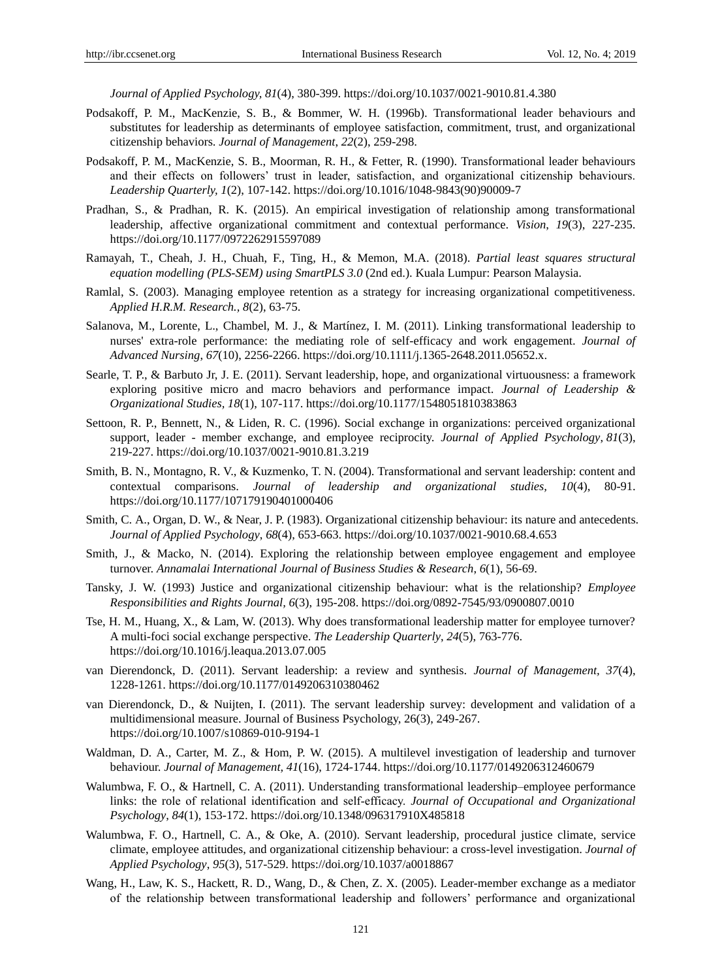*Journal of Applied Psychology, 81*(4), 380-399. https://doi.org/10.1037/0021-9010.81.4.380

- Podsakoff, P. M., MacKenzie, S. B., & Bommer, W. H. (1996b). Transformational leader behaviours and substitutes for leadership as determinants of employee satisfaction, commitment, trust, and organizational citizenship behaviors. *Journal of Management*, *22*(2), 259-298.
- Podsakoff, P. M., MacKenzie, S. B., Moorman, R. H., & Fetter, R. (1990). Transformational leader behaviours and their effects on followers' trust in leader, satisfaction, and organizational citizenship behaviours. *Leadership Quarterly, 1*(2), 107-142. https://doi.org/10.1016/1048-9843(90)90009-7
- Pradhan, S., & Pradhan, R. K. (2015). An empirical investigation of relationship among transformational leadership, affective organizational commitment and contextual performance. *Vision*, *19*(3), 227-235. https://doi.org/10.1177/0972262915597089
- Ramayah, T., Cheah, J. H., Chuah, F., Ting, H., & Memon, M.A. (2018). *Partial least squares structural equation modelling (PLS-SEM) using SmartPLS 3.0* (2nd ed.). Kuala Lumpur: Pearson Malaysia.
- Ramlal, S. (2003). Managing employee retention as a strategy for increasing organizational competitiveness. *Applied H.R.M. Research., 8*(2), 63-75.
- Salanova, M., Lorente, L., Chambel, M. J., & Mart nez, I. M. (2011). Linking transformational leadership to nurses' extra-role performance: the mediating role of self-efficacy and work engagement. *Journal of Advanced Nursing*, *67*(10), 2256-2266. https://doi.org/10.1111/j.1365-2648.2011.05652.x.
- Searle, T. P., & Barbuto Jr, J. E. (2011). Servant leadership, hope, and organizational virtuousness: a framework exploring positive micro and macro behaviors and performance impact. *Journal of Leadership & Organizational Studies, 18*(1), 107-117. https://doi.org/10.1177/1548051810383863
- Settoon, R. P., Bennett, N., & Liden, R. C. (1996). Social exchange in organizations: perceived organizational support, leader - member exchange, and employee reciprocity. *Journal of Applied Psychology*, *81*(3), 219-227. https://doi.org/10.1037/0021-9010.81.3.219
- Smith, B. N., Montagno, R. V., & Kuzmenko, T. N. (2004). Transformational and servant leadership: content and contextual comparisons. *Journal of leadership and organizational studies, 10*(4), 80-91. https://doi.org/10.1177/107179190401000406
- Smith, C. A., Organ, D. W., & Near, J. P. (1983). Organizational citizenship behaviour: its nature and antecedents. *Journal of Applied Psychology*, *68*(4), 653-663. https://doi.org/10.1037/0021-9010.68.4.653
- Smith, J., & Macko, N. (2014). Exploring the relationship between employee engagement and employee turnover. *Annamalai International Journal of Business Studies & Research*, *6*(1), 56-69.
- Tansky, J. W. (1993) Justice and organizational citizenship behaviour: what is the relationship? *Employee Responsibilities and Rights Journal, 6*(3), 195-208. https://doi.org/0892-7545/93/0900807.0010
- Tse, H. M., Huang, X., & Lam, W. (2013). Why does transformational leadership matter for employee turnover? A multi-foci social exchange perspective. *The Leadership Quarterly*, *24*(5), 763-776. https://doi.org/10.1016/j.leaqua.2013.07.005
- van Dierendonck, D. (2011). Servant leadership: a review and synthesis. *Journal of Management, 37*(4), 1228-1261. https://doi.org/10.1177/0149206310380462
- van Dierendonck, D., & Nuijten, I. (2011). The servant leadership survey: development and validation of a multidimensional measure. Journal of Business Psychology, 26(3), 249-267. https://doi.org/10.1007/s10869-010-9194-1
- Waldman, D. A., Carter, M. Z., & Hom, P. W. (2015). A multilevel investigation of leadership and turnover behaviour. *Journal of Management, 41*(16), 1724-1744. https://doi.org/10.1177/0149206312460679
- Walumbwa, F. O., & Hartnell, C. A. (2011). Understanding transformational leadership–employee performance links: the role of relational identification and self-efficacy. *Journal of Occupational and Organizational Psychology*, *84*(1), 153-172. https://doi.org/10.1348/096317910X485818
- Walumbwa, F. O., Hartnell, C. A., & Oke, A. (2010). Servant leadership, procedural justice climate, service climate, employee attitudes, and organizational citizenship behaviour: a cross-level investigation. *Journal of Applied Psychology*, *95*(3), 517-529. https://doi.org/10.1037/a0018867
- Wang, H., Law, K. S., Hackett, R. D., Wang, D., & Chen, Z. X. (2005). Leader-member exchange as a mediator of the relationship between transformational leadership and followers' performance and organizational